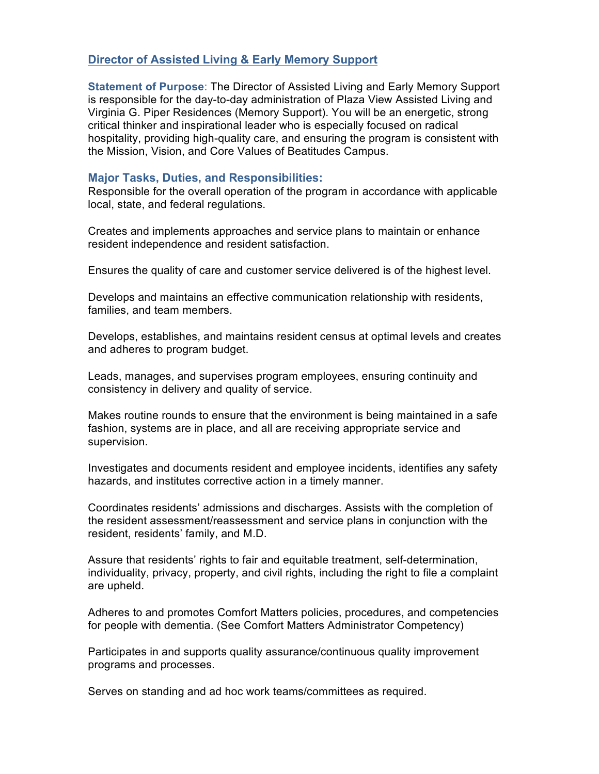## **Director of Assisted Living & Early Memory Support**

**Statement of Purpose**: The Director of Assisted Living and Early Memory Support is responsible for the day-to-day administration of Plaza View Assisted Living and Virginia G. Piper Residences (Memory Support). You will be an energetic, strong critical thinker and inspirational leader who is especially focused on radical hospitality, providing high-quality care, and ensuring the program is consistent with the Mission, Vision, and Core Values of Beatitudes Campus.

## **Major Tasks, Duties, and Responsibilities:**

Responsible for the overall operation of the program in accordance with applicable local, state, and federal regulations.

Creates and implements approaches and service plans to maintain or enhance resident independence and resident satisfaction.

Ensures the quality of care and customer service delivered is of the highest level.

Develops and maintains an effective communication relationship with residents, families, and team members.

Develops, establishes, and maintains resident census at optimal levels and creates and adheres to program budget.

Leads, manages, and supervises program employees, ensuring continuity and consistency in delivery and quality of service.

Makes routine rounds to ensure that the environment is being maintained in a safe fashion, systems are in place, and all are receiving appropriate service and supervision.

Investigates and documents resident and employee incidents, identifies any safety hazards, and institutes corrective action in a timely manner.

Coordinates residents' admissions and discharges. Assists with the completion of the resident assessment/reassessment and service plans in conjunction with the resident, residents' family, and M.D.

Assure that residents' rights to fair and equitable treatment, self-determination, individuality, privacy, property, and civil rights, including the right to file a complaint are upheld.

Adheres to and promotes Comfort Matters policies, procedures, and competencies for people with dementia. (See Comfort Matters Administrator Competency)

Participates in and supports quality assurance/continuous quality improvement programs and processes.

Serves on standing and ad hoc work teams/committees as required.